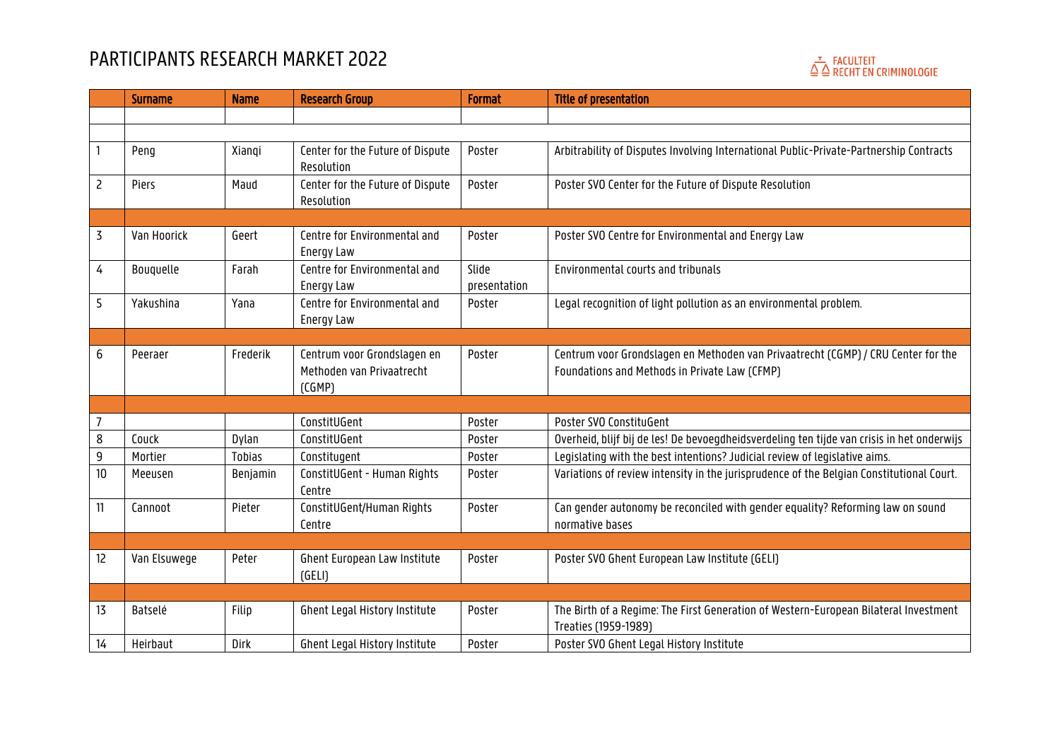

|                | <b>Surname</b> | <b>Name</b>   | <b>Research Group</b>                                              | <b>Format</b>         | <b>Title of presentation</b>                                                                                                       |
|----------------|----------------|---------------|--------------------------------------------------------------------|-----------------------|------------------------------------------------------------------------------------------------------------------------------------|
|                |                |               |                                                                    |                       |                                                                                                                                    |
|                |                |               |                                                                    |                       |                                                                                                                                    |
|                | Peng           | Xiangi        | Center for the Future of Dispute<br>Resolution                     | Poster                | Arbitrability of Disputes Involving International Public-Private-Partnership Contracts                                             |
| $\overline{c}$ | Piers          | Maud          | Center for the Future of Dispute<br>Resolution                     | Poster                | Poster SVO Center for the Future of Dispute Resolution                                                                             |
|                |                |               |                                                                    |                       |                                                                                                                                    |
| 3              | Van Hoorick    | Geert         | Centre for Environmental and<br>Energy Law                         | Poster                | Poster SVO Centre for Environmental and Energy Law                                                                                 |
| 4              | Bouquelle      | Farah         | Centre for Environmental and<br>Energy Law                         | Slide<br>presentation | Environmental courts and tribunals                                                                                                 |
| 5              | Yakushina      | Yana          | Centre for Environmental and<br>Energy Law                         | Poster                | Legal recognition of light pollution as an environmental problem.                                                                  |
|                |                |               |                                                                    |                       |                                                                                                                                    |
| 6              | Peeraer        | Frederik      | Centrum voor Grondslagen en<br>Methoden van Privaatrecht<br>(CGMP) | Poster                | Centrum voor Grondslagen en Methoden van Privaatrecht (CGMP) / CRU Center for the<br>Foundations and Methods in Private Law (CFMP) |
|                |                |               |                                                                    |                       |                                                                                                                                    |
| $\overline{7}$ |                |               | ConstitUGent                                                       | Poster                | Poster SVO ConstituGent                                                                                                            |
| 8              | Couck          | Dylan         | ConstitUGent                                                       | Poster                | Overheid, blijf bij de les! De bevoegdheidsverdeling ten tijde van crisis in het onderwijs                                         |
| 9              | Mortier        | <b>Tobias</b> | Constitugent                                                       | Poster                | Legislating with the best intentions? Judicial review of legislative aims.                                                         |
| 10             | Meeusen        | Benjamin      | ConstitUGent - Human Rights<br>Centre                              | Poster                | Variations of review intensity in the jurisprudence of the Belgian Constitutional Court.                                           |
| 11             | Cannoot        | Pieter        | ConstitUGent/Human Rights<br>Centre                                | Poster                | Can gender autonomy be reconciled with gender equality? Reforming law on sound<br>normative bases                                  |
|                |                |               |                                                                    |                       |                                                                                                                                    |
| 12             | Van Elsuwege   | Peter         | Ghent European Law Institute<br>(GELI)                             | Poster                | Poster SVO Ghent European Law Institute (GELI)                                                                                     |
|                |                |               |                                                                    |                       |                                                                                                                                    |
| 13             | Batselé        | Filip         | Ghent Legal History Institute                                      | Poster                | The Birth of a Regime: The First Generation of Western-European Bilateral Investment<br>Treaties (1959-1989)                       |
| 14             | Heirbaut       | Dirk          | Ghent Legal History Institute                                      | Poster                | Poster SVO Ghent Legal History Institute                                                                                           |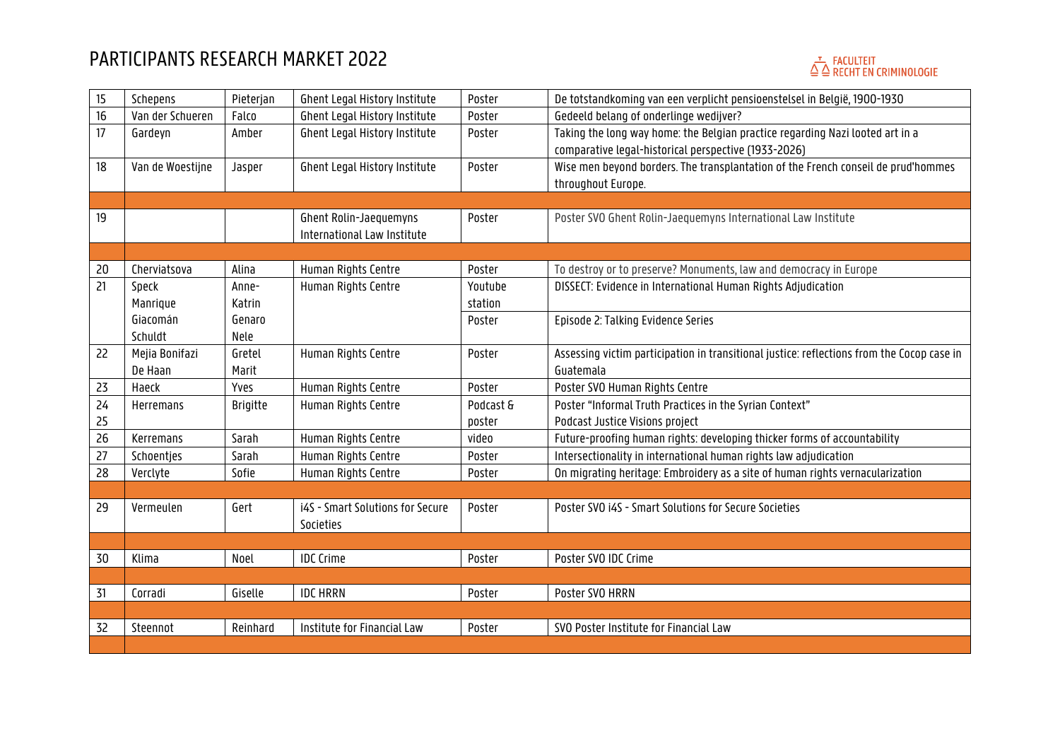# $\stackrel{\tau}{\triangle} \stackrel{\Gamma}{\triangle}$  FACULTEIT<br> $\stackrel{\tau}{\triangle}$  RECHT EN CRIMINOLOGIE

| 15 | Schepens         | Pieterjan       | Ghent Legal History Institute    | Poster    | De totstandkoming van een verplicht pensioenstelsel in België, 1900-1930                   |
|----|------------------|-----------------|----------------------------------|-----------|--------------------------------------------------------------------------------------------|
| 16 | Van der Schueren | Falco           | Ghent Legal History Institute    | Poster    | Gedeeld belang of onderlinge wedijver?                                                     |
| 17 | Gardeyn          | Amber           | Ghent Legal History Institute    | Poster    | Taking the long way home: the Belgian practice regarding Nazi looted art in a              |
|    |                  |                 |                                  |           | comparative legal-historical perspective (1933-2026)                                       |
| 18 | Van de Woestijne | Jasper          | Ghent Legal History Institute    | Poster    | Wise men beyond borders. The transplantation of the French conseil de prud'hommes          |
|    |                  |                 |                                  |           | throughout Europe.                                                                         |
|    |                  |                 |                                  |           |                                                                                            |
| 19 |                  |                 | Ghent Rolin-Jaequemyns           | Poster    | Poster SVO Ghent Rolin-Jaequemyns International Law Institute                              |
|    |                  |                 | International Law Institute      |           |                                                                                            |
|    |                  |                 |                                  |           |                                                                                            |
| 20 | Cherviatsova     | Alina           | Human Rights Centre              | Poster    | To destroy or to preserve? Monuments, law and democracy in Europe                          |
| 21 | Speck            | Anne-           | Human Rights Centre              | Youtube   | DISSECT: Evidence in International Human Rights Adjudication                               |
|    | Manrique         | Katrin          |                                  | station   |                                                                                            |
|    | Giacomán         | Genaro          |                                  | Poster    | Episode 2: Talking Evidence Series                                                         |
|    | Schuldt          | Nele            |                                  |           |                                                                                            |
| 22 | Mejia Bonifazi   | Gretel          | Human Rights Centre              | Poster    | Assessing victim participation in transitional justice: reflections from the Cocop case in |
|    | De Haan          | Marit           |                                  |           | Guatemala                                                                                  |
| 23 | Haeck            | Yves            | Human Rights Centre              | Poster    | Poster SVO Human Rights Centre                                                             |
| 24 | Herremans        | <b>Brigitte</b> | Human Rights Centre              | Podcast & | Poster "Informal Truth Practices in the Syrian Context"                                    |
| 25 |                  |                 |                                  | poster    | Podcast Justice Visions project                                                            |
| 26 | Kerremans        | Sarah           | Human Rights Centre              | video     | Future-proofing human rights: developing thicker forms of accountability                   |
| 27 | Schoentjes       | Sarah           | Human Rights Centre              | Poster    | Intersectionality in international human rights law adjudication                           |
| 28 | Verclyte         | Sofie           | Human Rights Centre              | Poster    | On migrating heritage: Embroidery as a site of human rights vernacularization              |
|    |                  |                 |                                  |           |                                                                                            |
| 29 | Vermeulen        | Gert            | i4S - Smart Solutions for Secure | Poster    | Poster SVO i4S - Smart Solutions for Secure Societies                                      |
|    |                  |                 | Societies                        |           |                                                                                            |
|    |                  |                 |                                  |           |                                                                                            |
| 30 | Klima            | Noel            | <b>IDC Crime</b>                 | Poster    | Poster SVO IDC Crime                                                                       |
|    |                  |                 |                                  |           |                                                                                            |
| 31 | Corradi          | Giselle         | <b>IDC HRRN</b>                  | Poster    | Poster SVO HRRN                                                                            |
|    |                  |                 | Institute for Financial Law      |           |                                                                                            |
| 32 | Steennot         | Reinhard        |                                  | Poster    | SVO Poster Institute for Financial Law                                                     |
|    |                  |                 |                                  |           |                                                                                            |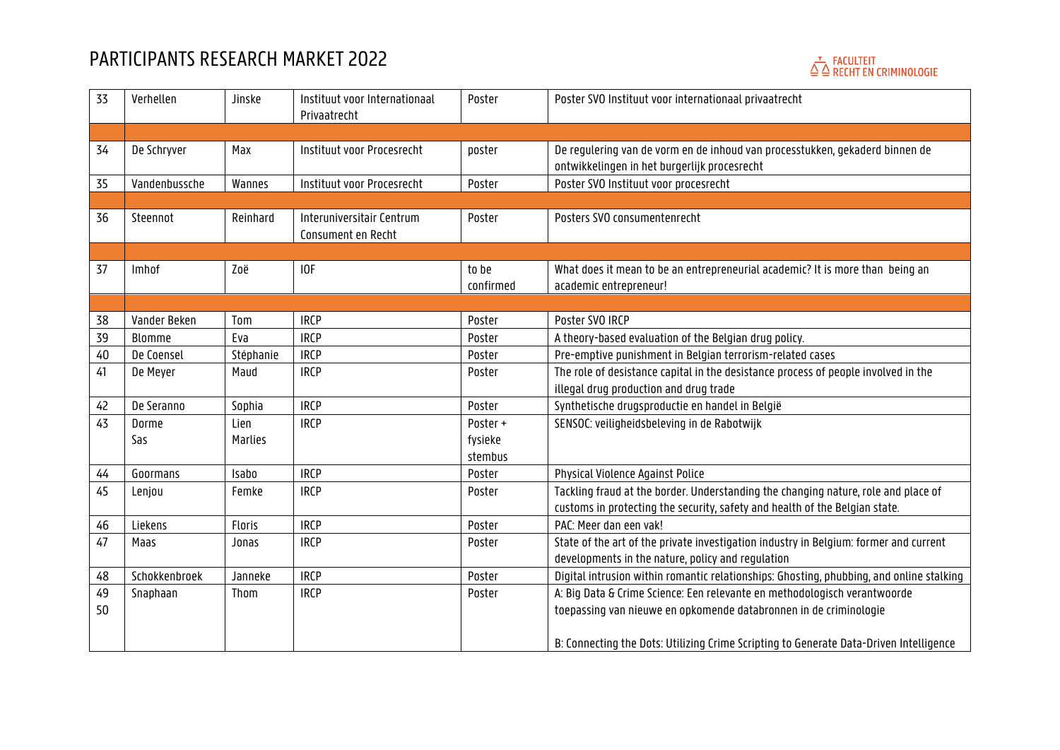## $\stackrel{\tau}{\triangle} \stackrel{\Gamma}{\triangle}$  FACULTEIT<br> $\stackrel{\tau}{\triangle}$  RECHT EN CRIMINOLOGIE

| 33 | Verhellen     | Jinske         | Instituut voor Internationaal<br>Privaatrecht   | Poster    | Poster SVO Instituut voor internationaal privaatrecht                                                                        |
|----|---------------|----------------|-------------------------------------------------|-----------|------------------------------------------------------------------------------------------------------------------------------|
|    |               |                |                                                 |           |                                                                                                                              |
| 34 | De Schryver   | Max            | Instituut voor Procesrecht                      | poster    | De regulering van de vorm en de inhoud van processtukken, gekaderd binnen de<br>ontwikkelingen in het burgerlijk procesrecht |
| 35 | Vandenbussche | Wannes         | Instituut voor Procesrecht                      | Poster    | Poster SVO Instituut voor procesrecht                                                                                        |
|    |               |                |                                                 |           |                                                                                                                              |
| 36 | Steennot      | Reinhard       | Interuniversitair Centrum<br>Consument en Recht | Poster    | Posters SVO consumentenrecht                                                                                                 |
|    |               |                |                                                 |           |                                                                                                                              |
| 37 | Imhof         | Zoë            | IOF                                             | to be     | What does it mean to be an entrepreneurial academic? It is more than being an                                                |
|    |               |                |                                                 | confirmed | academic entrepreneur!                                                                                                       |
|    |               |                |                                                 |           |                                                                                                                              |
| 38 | Vander Beken  | Tom            | <b>IRCP</b>                                     | Poster    | Poster SVO IRCP                                                                                                              |
| 39 | Blomme        | Eva            | <b>IRCP</b>                                     | Poster    | A theory-based evaluation of the Belgian drug policy.                                                                        |
| 40 | De Coensel    | Stéphanie      | <b>IRCP</b>                                     | Poster    | Pre-emptive punishment in Belgian terrorism-related cases                                                                    |
| 41 | De Meyer      | Maud           | <b>IRCP</b>                                     | Poster    | The role of desistance capital in the desistance process of people involved in the                                           |
|    |               |                |                                                 |           | illegal drug production and drug trade                                                                                       |
| 42 | De Seranno    | Sophia         | <b>IRCP</b>                                     | Poster    | Synthetische drugsproductie en handel in België                                                                              |
| 43 | Dorme         | Lien           | <b>IRCP</b>                                     | Poster +  | SENSOC: veiligheidsbeleving in de Rabotwijk                                                                                  |
|    | Sas           | <b>Marlies</b> |                                                 | fysieke   |                                                                                                                              |
|    |               |                |                                                 | stembus   |                                                                                                                              |
| 44 | Goormans      | Isabo          | <b>IRCP</b>                                     | Poster    | Physical Violence Against Police                                                                                             |
| 45 | Lenjou        | Femke          | <b>IRCP</b>                                     | Poster    | Tackling fraud at the border. Understanding the changing nature, role and place of                                           |
|    |               |                |                                                 |           | customs in protecting the security, safety and health of the Belgian state.                                                  |
| 46 | Liekens       | Floris         | <b>IRCP</b>                                     | Poster    | PAC: Meer dan een vak!                                                                                                       |
| 47 | Maas          | Jonas          | <b>IRCP</b>                                     | Poster    | State of the art of the private investigation industry in Belgium: former and current                                        |
|    |               |                |                                                 |           | developments in the nature, policy and regulation                                                                            |
| 48 | Schokkenbroek | Janneke        | <b>IRCP</b>                                     | Poster    | Digital intrusion within romantic relationships: Ghosting, phubbing, and online stalking                                     |
| 49 | Snaphaan      | Thom           | <b>IRCP</b>                                     | Poster    | A: Big Data & Crime Science: Een relevante en methodologisch verantwoorde                                                    |
| 50 |               |                |                                                 |           | toepassing van nieuwe en opkomende databronnen in de criminologie                                                            |
|    |               |                |                                                 |           | B: Connecting the Dots: Utilizing Crime Scripting to Generate Data-Driven Intelligence                                       |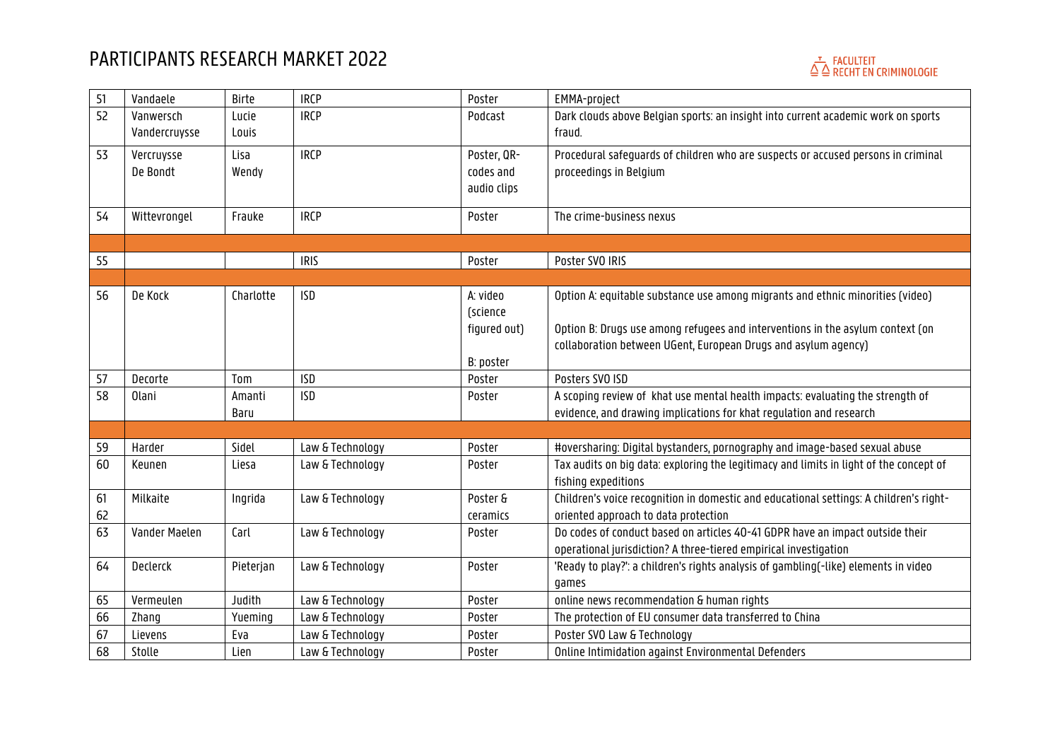

| 51 | Vandaele      | Birte     | <b>IRCP</b>      | Poster       | EMMA-project                                                                           |
|----|---------------|-----------|------------------|--------------|----------------------------------------------------------------------------------------|
| 52 | Vanwersch     | Lucie     | <b>IRCP</b>      | Podcast      | Dark clouds above Belgian sports: an insight into current academic work on sports      |
|    | Vandercruysse | Louis     |                  |              | fraud.                                                                                 |
| 53 | Vercruysse    | Lisa      | <b>IRCP</b>      | Poster, QR-  | Procedural safeguards of children who are suspects or accused persons in criminal      |
|    | De Bondt      | Wendy     |                  | codes and    | proceedings in Belgium                                                                 |
|    |               |           |                  | audio clips  |                                                                                        |
|    |               |           |                  |              |                                                                                        |
| 54 | Wittevrongel  | Frauke    | <b>IRCP</b>      | Poster       | The crime-business nexus                                                               |
|    |               |           |                  |              |                                                                                        |
| 55 |               |           | <b>IRIS</b>      | Poster       | Poster SVO IRIS                                                                        |
|    |               |           |                  |              |                                                                                        |
| 56 | De Kock       | Charlotte | <b>ISD</b>       | A: video     | Option A: equitable substance use among migrants and ethnic minorities (video)         |
|    |               |           |                  | (science     |                                                                                        |
|    |               |           |                  | figured out) | Option B: Drugs use among refugees and interventions in the asylum context (on         |
|    |               |           |                  |              | collaboration between UGent, European Drugs and asylum agency)                         |
|    |               |           |                  | B: poster    |                                                                                        |
| 57 | Decorte       | Tom       | <b>ISD</b>       | Poster       | Posters SVO ISD                                                                        |
| 58 | 0lani         | Amanti    | <b>ISD</b>       | Poster       | A scoping review of khat use mental health impacts: evaluating the strength of         |
|    |               | Baru      |                  |              | evidence, and drawing implications for khat regulation and research                    |
|    |               |           |                  |              |                                                                                        |
| 59 | Harder        | Sidel     | Law & Technology | Poster       | #oversharing: Digital bystanders, pornography and image-based sexual abuse             |
| 60 | Keunen        | Liesa     | Law & Technology | Poster       | Tax audits on big data: exploring the legitimacy and limits in light of the concept of |
|    |               |           |                  |              | fishing expeditions                                                                    |
| 61 | Milkaite      | Ingrida   | Law & Technology | Poster &     | Children's voice recognition in domestic and educational settings: A children's right- |
| 62 |               |           |                  | ceramics     | oriented approach to data protection                                                   |
| 63 | Vander Maelen | Carl      | Law & Technology | Poster       | Do codes of conduct based on articles 40-41 GDPR have an impact outside their          |
|    |               |           |                  |              | operational jurisdiction? A three-tiered empirical investigation                       |
| 64 | Declerck      | Pieterjan | Law & Technology | Poster       | 'Ready to play?': a children's rights analysis of gambling(-like) elements in video    |
|    |               |           |                  |              | games                                                                                  |
| 65 | Vermeulen     | Judith    | Law & Technology | Poster       | online news recommendation & human rights                                              |
| 66 | Zhang         | Yueming   | Law & Technology | Poster       | The protection of EU consumer data transferred to China                                |
| 67 | Lievens       | Eva       | Law & Technology | Poster       | Poster SVO Law & Technology                                                            |
| 68 | Stolle        | Lien      | Law & Technology | Poster       | Online Intimidation against Environmental Defenders                                    |